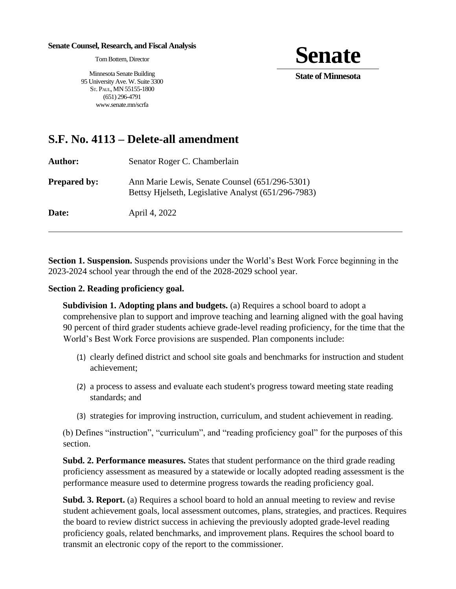## **Senate Counsel, Research, and Fiscal Analysis**

Tom Bottern, Director

**Senate** 

**State of Minnesota** 

Minnesota Senate Building 95 University Ave. W. Suite 3300 ST. PAUL, MN 55155-1800 (651) 296-4791 www.senate.mn/scrfa

## **S.F. No. 4113 – Delete-all amendment**

**Author:** Senator Roger C. Chamberlain

**Prepared by:** Ann Marie Lewis, Senate Counsel (651/296-5301) Bettsy Hjelseth, Legislative Analyst (651/296-7983)

**Date:** April 4, 2022

**Section 1. Suspension.** Suspends provisions under the World's Best Work Force beginning in the 2023-2024 school year through the end of the 2028-2029 school year.

## **Section 2. Reading proficiency goal.**

**Subdivision 1. Adopting plans and budgets.** (a) Requires a school board to adopt a comprehensive plan to support and improve teaching and learning aligned with the goal having 90 percent of third grader students achieve grade-level reading proficiency, for the time that the World's Best Work Force provisions are suspended. Plan components include:

- (1) clearly defined district and school site goals and benchmarks for instruction and student achievement;
- (2) a process to assess and evaluate each student's progress toward meeting state reading standards; and
- (3) strategies for improving instruction, curriculum, and student achievement in reading.

(b) Defines "instruction", "curriculum", and "reading proficiency goal" for the purposes of this section.

**Subd. 2. Performance measures.** States that student performance on the third grade reading proficiency assessment as measured by a statewide or locally adopted reading assessment is the performance measure used to determine progress towards the reading proficiency goal.

**Subd. 3. Report.** (a) Requires a school board to hold an annual meeting to review and revise student achievement goals, local assessment outcomes, plans, strategies, and practices. Requires the board to review district success in achieving the previously adopted grade-level reading proficiency goals, related benchmarks, and improvement plans. Requires the school board to transmit an electronic copy of the report to the commissioner.